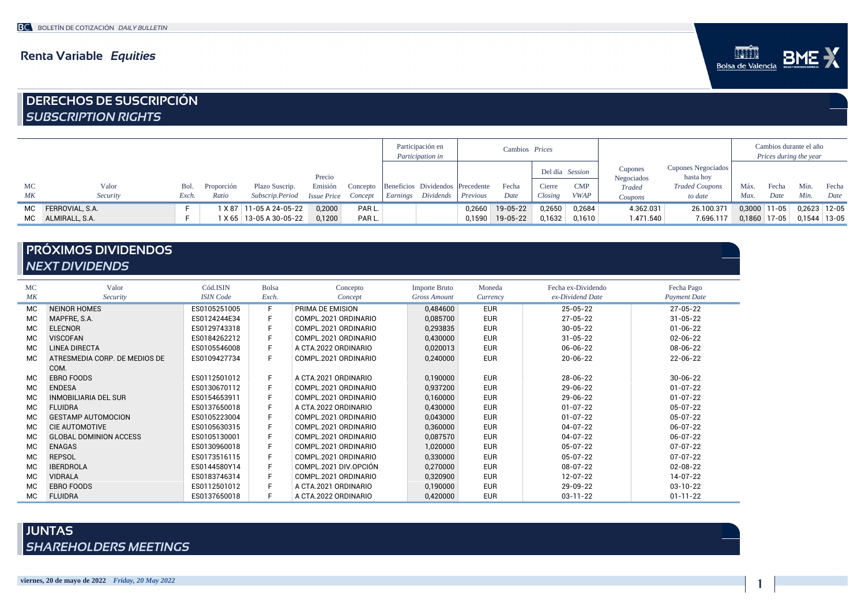### Renta Variable *Equities*



# DERECHOS DE SUSCRIPCIÓN *SUBSCRIPTION RIGHTS*

|    |                    |       |            |                           |                            |          | Participación en<br>Cambios Prices<br>Participation in |                                  |          |                 | Cambios durante el año<br>Prices during the year |             |                       |                                 |                |       |                  |       |
|----|--------------------|-------|------------|---------------------------|----------------------------|----------|--------------------------------------------------------|----------------------------------|----------|-----------------|--------------------------------------------------|-------------|-----------------------|---------------------------------|----------------|-------|------------------|-------|
|    |                    |       |            |                           | Precio                     |          |                                                        |                                  |          |                 | Del día Session                                  |             | Cupones<br>Negociados | Cupones Negociados<br>hasta hoy |                |       |                  |       |
| MC | Valor              | Bol.  | Proporción | Plazo Suscrip.            | Emisión                    | Concepto |                                                        | Beneficios Dividendos Precedente |          | Fecha           | Cierre                                           | CMP         | Traded                | <b>Traded Coupons</b>           | Máx            | Fecha | Mín.             | Fecha |
| МK | Security           | Exch. | Ratio      | Subscrip.Period           | <b>Issue Price</b> Concept |          |                                                        | Earnings Dividends               | Previous | Date            | Closing                                          | <b>VWAP</b> | Coupons               | to date                         | Max.           | Date  | Min.             | Date  |
|    | MC FERROVIAL, S.A. |       |            | X 87   11-05 A 24-05-22   | 0,2000                     | PAR L.   |                                                        |                                  |          | 0,2660 19-05-22 | 0,2650                                           | 0.2684      | 4.362.031             | 26.100.371                      | $0,3000$ 11-05 |       | $0,2623$   12-05 |       |
| MC | ALMIRALL, S.A.     |       |            | 1 X 65   13-05 A 30-05-22 | 0,1200                     | PAR L.   |                                                        |                                  |          | 0,1590 19-05-22 | 0,1632                                           | 0.1610      | 1.471.540             | 7.696.117                       | $0,1860$ 17-05 |       | $0,1544$ 13-05   |       |

## PRÓXIMOS DIVIDENDOS *NEXT DIVIDENDS*

| <b>MC</b> | Valor                         | Cód.ISIN         | <b>Bolsa</b> | Concepto              | <b>Importe Bruto</b> | Moneda     | Fecha ex-Dividendo | Fecha Pago          |
|-----------|-------------------------------|------------------|--------------|-----------------------|----------------------|------------|--------------------|---------------------|
| MK        | Security                      | <b>ISIN</b> Code | Exch.        | Concept               | <b>Gross Amount</b>  | Currency   | ex-Dividend Date   | <b>Payment Date</b> |
| <b>MC</b> | <b>NEINOR HOMES</b>           | ES0105251005     | F.           | PRIMA DE EMISION      | 0,484600             | <b>EUR</b> | $25 - 05 - 22$     | $27 - 05 - 22$      |
| <b>MC</b> | MAPFRE, S.A.                  | ES0124244E34     | F.           | COMPL.2021 ORDINARIO  | 0,085700             | <b>EUR</b> | $27 - 05 - 22$     | $31 - 05 - 22$      |
| <b>MC</b> | <b>ELECNOR</b>                | ES0129743318     | F            | COMPL.2021 ORDINARIO  | 0,293835             | <b>EUR</b> | $30 - 05 - 22$     | $01 - 06 - 22$      |
| <b>MC</b> | <b>VISCOFAN</b>               | ES0184262212     | F.           | COMPL.2021 ORDINARIO  | 0,430000             | <b>EUR</b> | $31 - 05 - 22$     | $02 - 06 - 22$      |
| <b>MC</b> | <b>LINEA DIRECTA</b>          | ES0105546008     | F.           | A CTA.2022 ORDINARIO  | 0,020013             | <b>EUR</b> | $06 - 06 - 22$     | $08 - 06 - 22$      |
| <b>MC</b> | ATRESMEDIA CORP. DE MEDIOS DE | ES0109427734     | F            | COMPL.2021 ORDINARIO  | 0,240000             | <b>EUR</b> | $20 - 06 - 22$     | 22-06-22            |
|           | COM.                          |                  |              |                       |                      |            |                    |                     |
| <b>MC</b> | <b>EBRO FOODS</b>             | ES0112501012     | F.           | A CTA.2021 ORDINARIO  | 0,190000             | <b>EUR</b> | 28-06-22           | $30 - 06 - 22$      |
| <b>MC</b> | <b>ENDESA</b>                 | ES0130670112     | F.           | COMPL.2021 ORDINARIO  | 0.937200             | <b>EUR</b> | 29-06-22           | $01 - 07 - 22$      |
| <b>MC</b> | <b>INMOBILIARIA DEL SUR</b>   | ES0154653911     | F.           | COMPL.2021 ORDINARIO  | 0,160000             | <b>EUR</b> | 29-06-22           | $01 - 07 - 22$      |
| <b>MC</b> | <b>FLUIDRA</b>                | ES0137650018     | F.           | A CTA.2022 ORDINARIO  | 0,430000             | <b>EUR</b> | $01 - 07 - 22$     | 05-07-22            |
| <b>MC</b> | <b>GESTAMP AUTOMOCION</b>     | ES0105223004     | F.           | COMPL.2021 ORDINARIO  | 0,043000             | <b>EUR</b> | $01 - 07 - 22$     | $05 - 07 - 22$      |
| <b>MC</b> | <b>CIE AUTOMOTIVE</b>         | ES0105630315     | F.           | COMPL.2021 ORDINARIO  | 0,360000             | <b>EUR</b> | $04 - 07 - 22$     | $06 - 07 - 22$      |
| <b>MC</b> | <b>GLOBAL DOMINION ACCESS</b> | ES0105130001     | F.           | COMPL.2021 ORDINARIO  | 0,087570             | <b>EUR</b> | $04 - 07 - 22$     | $06 - 07 - 22$      |
| <b>MC</b> | <b>ENAGAS</b>                 | ES0130960018     | F.           | COMPL.2021 ORDINARIO  | 1,020000             | <b>EUR</b> | $05 - 07 - 22$     | $07 - 07 - 22$      |
| <b>MC</b> | <b>REPSOL</b>                 | ES0173516115     | F.           | COMPL.2021 ORDINARIO  | 0,330000             | <b>EUR</b> | $05 - 07 - 22$     | $07 - 07 - 22$      |
| <b>MC</b> | <b>IBERDROLA</b>              | ES0144580Y14     | F.           | COMPL.2021 DIV.OPCIÓN | 0,270000             | <b>EUR</b> | $08 - 07 - 22$     | $02 - 08 - 22$      |
| <b>MC</b> | <b>VIDRALA</b>                | ES0183746314     | F.           | COMPL.2021 ORDINARIO  | 0,320900             | <b>EUR</b> | $12 - 07 - 22$     | $14 - 07 - 22$      |
| <b>MC</b> | <b>EBRO FOODS</b>             | ES0112501012     | F.           | A CTA.2021 ORDINARIO  | 0,190000             | <b>EUR</b> | 29-09-22           | $03 - 10 - 22$      |
| МC        | <b>FLUIDRA</b>                | ES0137650018     | F            | A CTA.2022 ORDINARIO  | 0,420000             | <b>EUR</b> | $03 - 11 - 22$     | $01 - 11 - 22$      |

## JUNTAS *SHAREHOLDERS MEETINGS*